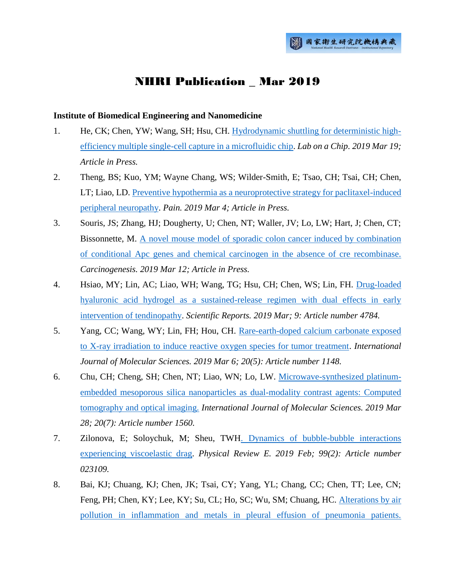# **NHRI Publication** Mar 2019

#### **Institute of Biomedical Engineering and Nanomedicine**

- 1. He, CK; Chen, YW; Wang, SH; Hsu, CH. [Hydrodynamic shuttling for deterministic high](http://ir.nhri.org.tw/handle/3990099045/11830)[efficiency multiple single-cell capture in a microfluidic chip.](http://ir.nhri.org.tw/handle/3990099045/11830) *Lab on a Chip. 2019 Mar 19; Article in Press.*
- 2. Theng, BS; Kuo, YM; Wayne Chang, WS; Wilder-Smith, E; Tsao, CH; Tsai, CH; Chen, LT; Liao, LD. [Preventive hypothermia as a neuroprotective strategy for paclitaxel-induced](http://ir.nhri.org.tw/handle/3990099045/11839)  [peripheral neuropathy.](http://ir.nhri.org.tw/handle/3990099045/11839) *Pain. 2019 Mar 4; Article in Press.*
- 3. Souris, JS; Zhang, HJ; Dougherty, U; Chen, NT; Waller, JV; Lo, LW; Hart, J; Chen, CT; Bissonnette, M. [A novel mouse model of sporadic colon cancer induced by combination](http://ir.nhri.org.tw/handle/3990099045/11837)  of conditional Apc genes [and chemical carcinogen in the absence of cre recombinase.](http://ir.nhri.org.tw/handle/3990099045/11837) *Carcinogenesis. 2019 Mar 12; Article in Press.*
- 4. Hsiao, MY; Lin, AC; Liao, WH; Wang, TG; Hsu, CH; Chen, WS; Lin, FH. [Drug-loaded](http://ir.nhri.org.tw/handle/3990099045/11833)  [hyaluronic acid hydrogel as a sustained-release regimen with dual effects in early](http://ir.nhri.org.tw/handle/3990099045/11833)  [intervention of tendinopathy.](http://ir.nhri.org.tw/handle/3990099045/11833) *Scientific Reports. 2019 Mar; 9: Article number 4784.*
- 5. Yang, CC; Wang, WY; Lin, FH; Hou, CH. [Rare-earth-doped calcium carbonate exposed](http://ir.nhri.org.tw/handle/3990099045/11832)  [to X-ray irradiation to induce reactive oxygen species for tumor treatment.](http://ir.nhri.org.tw/handle/3990099045/11832) *International Journal of Molecular Sciences. 2019 Mar 6; 20(5): Article number 1148.*
- 6. Chu, CH; Cheng, SH; Chen, NT; Liao, WN; Lo, LW. [Microwave-synthesized platinum](http://ir.nhri.org.tw/handle/3990099045/11836)[embedded mesoporous silica nanoparticles as dual-modality contrast agents: Computed](http://ir.nhri.org.tw/handle/3990099045/11836)  [tomography and optical imaging.](http://ir.nhri.org.tw/handle/3990099045/11836) *International Journal of Molecular Sciences. 2019 Mar 28; 20(7): Article number 1560.*
- 7. Zilonova, E; Soloychuk, M; Sheu, TW[H. Dynamics of bubble-bubble interactions](http://ir.nhri.org.tw/handle/3990099045/11834)  [experiencing viscoelastic drag.](http://ir.nhri.org.tw/handle/3990099045/11834) *Physical Review E. 2019 Feb; 99(2): Article number 023109.*
- 8. Bai, KJ; Chuang, KJ; Chen, JK; Tsai, CY; Yang, YL; Chang, CC; Chen, TT; Lee, CN; Feng, PH; Chen, KY; Lee, KY; Su, CL; Ho, SC; Wu, SM; Chuang, HC. [Alterations by air](http://ir.nhri.org.tw/handle/3990099045/11835)  [pollution in inflammation and metals in pleural effusion of pneumonia patients.](http://ir.nhri.org.tw/handle/3990099045/11835)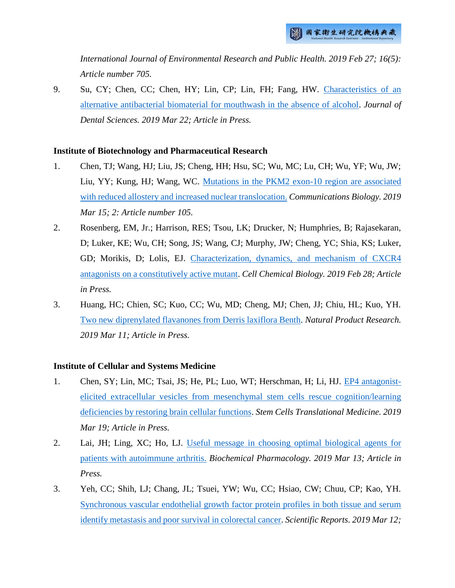*International Journal of Environmental Research and Public Health. 2019 Feb 27; 16(5): Article number 705.*

9. Su, CY; Chen, CC; Chen, HY; Lin, CP; Lin, FH; Fang, HW. [Characteristics of an](http://ir.nhri.org.tw/handle/3990099045/11831)  [alternative antibacterial biomaterial for mouthwash in the absence of alcohol.](http://ir.nhri.org.tw/handle/3990099045/11831) *Journal of Dental Sciences. 2019 Mar 22; Article in Press.*

#### **Institute of Biotechnology and Pharmaceutical Research**

- 1. Chen, TJ; Wang, HJ; Liu, JS; Cheng, HH; Hsu, SC; Wu, MC; Lu, CH; Wu, YF; Wu, JW; Liu, YY; Kung, HJ; Wang, WC. [Mutations in the PKM2 exon-10 region are associated](http://ir.nhri.org.tw/handle/3990099045/11778)  [with reduced allostery and increased nuclear translocation.](http://ir.nhri.org.tw/handle/3990099045/11778) *Communications Biology. 2019 Mar 15; 2: Article number 105.*
- 2. Rosenberg, EM, Jr.; Harrison, RES; Tsou, LK; Drucker, N; Humphries, B; Rajasekaran, D; Luker, KE; Wu, CH; Song, JS; Wang, CJ; Murphy, JW; Cheng, YC; Shia, KS; Luker, GD; Morikis, D; Lolis, EJ. [Characterization, dynamics, and mechanism of CXCR4](http://ir.nhri.org.tw/handle/3990099045/11777)  [antagonists on a constitutively active mutant.](http://ir.nhri.org.tw/handle/3990099045/11777) *Cell Chemical Biology. 2019 Feb 28; Article in Press.*
- 3. Huang, HC; Chien, SC; Kuo, CC; Wu, MD; Cheng, MJ; Chen, JJ; Chiu, HL; Kuo, YH. [Two new diprenylated flavanones from Derris laxiflora Benth.](http://ir.nhri.org.tw/handle/3990099045/11776) *Natural Product Research. 2019 Mar 11; Article in Press.*

## **Institute of Cellular and Systems Medicine**

- 1. Chen, SY; Lin, MC; Tsai, JS; He, PL; Luo, WT; Herschman, H; Li, HJ. [EP4 antagonist](http://ir.nhri.org.tw/handle/3990099045/11785)[elicited extracellular vesicles from mesenchymal stem cells rescue cognition/learning](http://ir.nhri.org.tw/handle/3990099045/11785)  [deficiencies by restoring brain cellular functions.](http://ir.nhri.org.tw/handle/3990099045/11785) *Stem Cells Translational Medicine. 2019 Mar 19; Article in Press.*
- 2. Lai, JH; Ling, XC; Ho, LJ. Useful message [in choosing optimal biological agents for](http://ir.nhri.org.tw/handle/3990099045/11784)  [patients with autoimmune arthritis.](http://ir.nhri.org.tw/handle/3990099045/11784) *Biochemical Pharmacology. 2019 Mar 13; Article in Press.*
- 3. Yeh, CC; Shih, LJ; Chang, JL; Tsuei, YW; Wu, CC; Hsiao, CW; Chuu, CP; Kao, YH. [Synchronous vascular endothelial growth factor protein profiles in both tissue and serum](http://ir.nhri.org.tw/handle/3990099045/11787)  [identify metastasis and poor survival in colorectal cancer.](http://ir.nhri.org.tw/handle/3990099045/11787) *Scientific Reports. 2019 Mar 12;*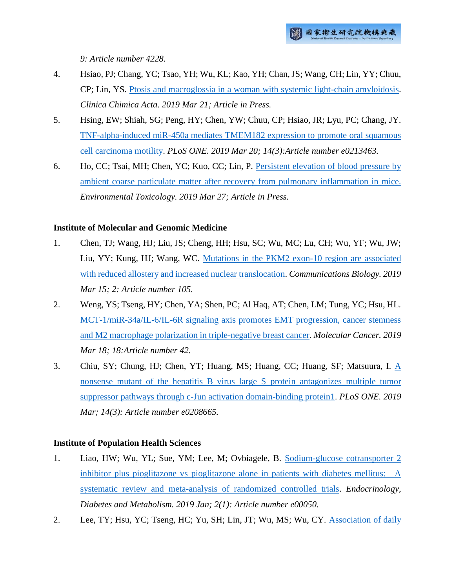*9: Article number 4228.*

- 4. Hsiao, PJ; Chang, YC; Tsao, YH; Wu, KL; Kao, YH; Chan, JS; Wang, CH; Lin, YY; Chuu, CP; Lin, YS. [Ptosis and macroglossia in a woman with systemic light-chain amyloidosis.](http://ir.nhri.org.tw/handle/3990099045/11786) *Clinica Chimica Acta. 2019 Mar 21; Article in Press.*
- 5. Hsing, EW; Shiah, SG; Peng, HY; Chen, YW; Chuu, CP; Hsiao, JR; Lyu, PC; Chang, JY. [TNF-alpha-induced miR-450a mediates TMEM182 expression to promote oral squamous](http://ir.nhri.org.tw/handle/3990099045/11829)  [cell carcinoma motility.](http://ir.nhri.org.tw/handle/3990099045/11829) *PLoS ONE. 2019 Mar 20; 14(3):Article number e0213463.*
- 6. Ho, CC; Tsai, MH; Chen, YC; Kuo, CC; Lin, P. [Persistent elevation of blood pressure by](http://ir.nhri.org.tw/handle/3990099045/11815)  [ambient coarse particulate matter after recovery from pulmonary inflammation in mice.](http://ir.nhri.org.tw/handle/3990099045/11815) *Environmental Toxicology. 2019 Mar 27; Article in Press.*

#### **Institute of Molecular and Genomic Medicine**

- 1. Chen, TJ; Wang, HJ; Liu, JS; Cheng, HH; Hsu, SC; Wu, MC; Lu, CH; Wu, YF; Wu, JW; Liu, YY; Kung, HJ; Wang, WC. [Mutations in the PKM2 exon-10 region are associated](http://ir.nhri.org.tw/handle/3990099045/11778)  [with reduced allostery and increased nuclear translocation.](http://ir.nhri.org.tw/handle/3990099045/11778) *Communications Biology. 2019 Mar 15; 2: Article number 105.*
- 2. Weng, YS; Tseng, HY; Chen, YA; Shen, PC; Al Haq, AT; Chen, LM; Tung, YC; Hsu, HL. [MCT-1/miR-34a/IL-6/IL-6R signaling axis promotes EMT progression, cancer stemness](http://ir.nhri.org.tw/handle/3990099045/11838)  [and M2 macrophage polarization in triple-negative breast cancer.](http://ir.nhri.org.tw/handle/3990099045/11838) *Molecular Cancer. 2019 Mar 18; 18:Article number 42.*
- 3. Chiu, SY; Chung, HJ; Chen, YT; Huang, MS; Huang, CC; Huang, SF; Matsuura, I. [A](http://ir.nhri.org.tw/handle/3990099045/11775)  [nonsense mutant of the hepatitis B virus large S protein antagonizes multiple tumor](http://ir.nhri.org.tw/handle/3990099045/11775)  [suppressor pathways through c-Jun activation domain-binding protein1.](http://ir.nhri.org.tw/handle/3990099045/11775) *PLoS ONE. 2019 Mar; 14(3): Article number e0208665.*

#### **Institute of Population Health Sciences**

- 1. Liao, HW; Wu, YL; Sue, YM; Lee, M; Ovbiagele, B. [Sodium-glucose cotransporter 2](http://ir.nhri.org.tw/handle/3990099045/11797)  [inhibitor plus pioglitazone vs pioglitazone alone in patients with diabetes mellitus: A](http://ir.nhri.org.tw/handle/3990099045/11797)  [systematic review and meta-analysis of randomized controlled trials.](http://ir.nhri.org.tw/handle/3990099045/11797) *Endocrinology, Diabetes and Metabolism. 2019 Jan; 2(1): Article number e00050.*
- 2. Lee, TY; Hsu, YC; Tseng, HC; Yu, SH; Lin, JT; Wu, MS; Wu, CY. [Association of daily](http://ir.nhri.org.tw/handle/3990099045/11808)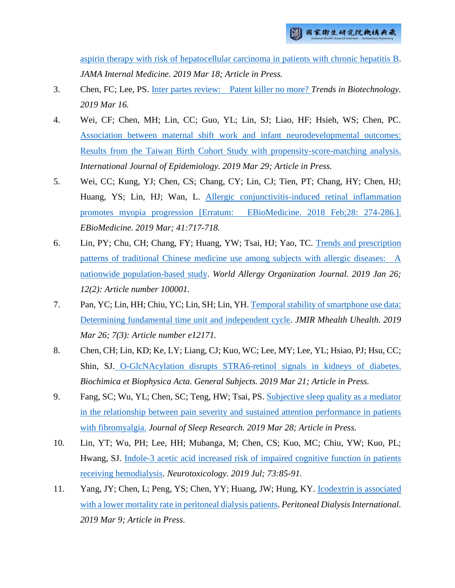[aspirin therapy with risk of hepatocellular carcinoma in patients with chronic hepatitis B.](http://ir.nhri.org.tw/handle/3990099045/11808) *JAMA Internal Medicine. 2019 Mar 18; Article in Press.*

- 3. Chen, FC; Lee, PS. [Inter partes review: Patent killer no more?](http://ir.nhri.org.tw/handle/3990099045/11803) *Trends in Biotechnology. 2019 Mar 16.*
- 4. Wei, CF; Chen, MH; Lin, CC; Guo, YL; Lin, SJ; Liao, HF; Hsieh, WS; Chen, PC. [Association between maternal shift work and infant neurodevelopmental outcomes:](http://ir.nhri.org.tw/handle/3990099045/11807)  [Results from the Taiwan Birth Cohort Study with propensity-score-matching analysis.](http://ir.nhri.org.tw/handle/3990099045/11807) *International Journal of Epidemiology. 2019 Mar 29; Article in Press.*
- 5. Wei, CC; Kung, YJ; Chen, CS; Chang, CY; Lin, CJ; Tien, PT; Chang, HY; Chen, HJ; Huang, YS; Lin, HJ; Wan, L. [Allergic conjunctivitis-induced retinal inflammation](http://ir.nhri.org.tw/handle/3990099045/11799)  [promotes myopia progression \[Erratum: EBioMedicine. 2018 Feb;28: 274-286.\].](http://ir.nhri.org.tw/handle/3990099045/11799) *EBioMedicine. 2019 Mar; 41:717-718.*
- 6. Lin, PY; Chu, CH; Chang, FY; Huang, YW; Tsai, HJ; Yao, TC. [Trends and prescription](http://ir.nhri.org.tw/handle/3990099045/11806)  [patterns of traditional Chinese medicine use among subjects with allergic diseases: A](http://ir.nhri.org.tw/handle/3990099045/11806)  [nationwide population-based study.](http://ir.nhri.org.tw/handle/3990099045/11806) *World Allergy Organization Journal. 2019 Jan 26; 12(2): Article number 100001.*
- 7. Pan, YC; Lin, HH; Chiu, YC; Lin, SH; Lin, YH[. Temporal stability of smartphone use data:](http://ir.nhri.org.tw/handle/3990099045/11798)  [Determining fundamental time unit and independent cycle.](http://ir.nhri.org.tw/handle/3990099045/11798) *JMIR Mhealth Uhealth. 2019 Mar 26; 7(3): Article number e12171.*
- 8. Chen, CH; Lin, KD; Ke, LY; Liang, CJ; Kuo, WC; Lee, MY; Lee, YL; Hsiao, PJ; Hsu, CC; Shin, SJ. [O-GlcNAcylation disrupts STRA6-retinol signals in kidneys of diabetes.](http://ir.nhri.org.tw/handle/3990099045/11800) *Biochimica et Biophysica Acta. General Subjects. 2019 Mar 21; Article in Press.*
- 9. Fang, SC; Wu, YL; Chen, SC; Teng, HW; Tsai, PS. [Subjective sleep quality as a mediator](http://ir.nhri.org.tw/handle/3990099045/11796)  [in the relationship between pain severity and sustained attention performance in patients](http://ir.nhri.org.tw/handle/3990099045/11796)  [with fibromyalgia.](http://ir.nhri.org.tw/handle/3990099045/11796) *Journal of Sleep Research. 2019 Mar 28; Article in Press.*
- 10. Lin, YT; Wu, PH; Lee, HH; Mubanga, M; Chen, CS; Kuo, MC; Chiu, YW; Kuo, PL; Hwang, SJ. [Indole-3 acetic acid increased risk of impaired cognitive function in patients](http://ir.nhri.org.tw/handle/3990099045/11795)  [receiving hemodialysis.](http://ir.nhri.org.tw/handle/3990099045/11795) *Neurotoxicology. 2019 Jul; 73:85-91.*
- 11. Yang, JY; Chen, L; Peng, YS; Chen, YY; Huang, JW; Hung, KY. [Icodextrin is associated](http://ir.nhri.org.tw/handle/3990099045/11804)  [with a lower mortality rate in peritoneal dialysis patients.](http://ir.nhri.org.tw/handle/3990099045/11804) *Peritoneal Dialysis International. 2019 Mar 9; Article in Press.*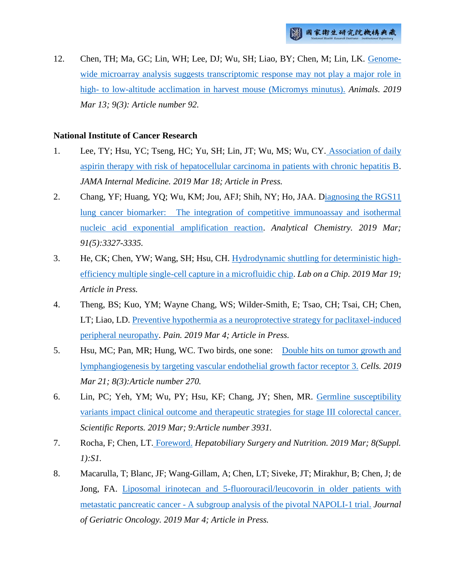12. Chen, TH; Ma, GC; Lin, WH; Lee, DJ; Wu, SH; Liao, BY; Chen, M; Lin, LK. [Genome](http://ir.nhri.org.tw/handle/3990099045/11805)[wide microarray analysis suggests transcriptomic response may not play a major role in](http://ir.nhri.org.tw/handle/3990099045/11805)  high- [to low-altitude acclimation in harvest mouse \(Micromys minutus\).](http://ir.nhri.org.tw/handle/3990099045/11805) *Animals. 2019 Mar 13; 9(3): Article number 92.*

#### **National Institute of Cancer Research**

- 1. Lee, TY; Hsu, YC; Tseng, HC; Yu, SH; Lin, JT; Wu, MS; Wu, CY. [Association of daily](http://ir.nhri.org.tw/handle/3990099045/11808)  [aspirin therapy with risk of hepatocellular carcinoma in patients with chronic hepatitis B.](http://ir.nhri.org.tw/handle/3990099045/11808) *JAMA Internal Medicine. 2019 Mar 18; Article in Press.*
- 2. Chang, YF; Huang, YQ; Wu, KM; Jou, AFJ; Shih, NY; Ho, JAA. [Diagnosing the RGS11](http://ir.nhri.org.tw/handle/3990099045/11819)  [lung cancer biomarker: The integration of competitive immunoassay and isothermal](http://ir.nhri.org.tw/handle/3990099045/11819)  [nucleic acid exponential amplification reaction.](http://ir.nhri.org.tw/handle/3990099045/11819) *Analytical Chemistry. 2019 Mar; 91(5):3327-3335.*
- 3. He, CK; Chen, YW; Wang, SH; Hsu, CH. [Hydrodynamic shuttling for deterministic high](http://ir.nhri.org.tw/handle/3990099045/11830)[efficiency multiple single-cell capture in a microfluidic chip.](http://ir.nhri.org.tw/handle/3990099045/11830) *Lab on a Chip. 2019 Mar 19; Article in Press.*
- 4. Theng, BS; Kuo, YM; Wayne Chang, WS; Wilder-Smith, E; Tsao, CH; Tsai, CH; Chen, LT; Liao, LD. [Preventive hypothermia as a neuroprotective strategy for paclitaxel-induced](http://ir.nhri.org.tw/handle/3990099045/11839)  peripheral [neuropathy.](http://ir.nhri.org.tw/handle/3990099045/11839) *Pain. 2019 Mar 4; Article in Press.*
- 5. Hsu, MC; Pan, MR; Hung, WC. Two birds, one sone: [Double hits on tumor growth and](http://ir.nhri.org.tw/handle/3990099045/11820)  [lymphangiogenesis by targeting vascular endothelial growth factor receptor 3.](http://ir.nhri.org.tw/handle/3990099045/11820) *Cells. 2019 Mar 21; 8(3):Article number 270.*
- 6. Lin, PC; Yeh, YM; Wu, PY; Hsu, KF; Chang, JY; Shen, MR. [Germline susceptibility](http://ir.nhri.org.tw/handle/3990099045/11821)  [variants impact clinical outcome and therapeutic](http://ir.nhri.org.tw/handle/3990099045/11821) strategies for stage III colorectal cancer. *Scientific Reports. 2019 Mar; 9:Article number 3931.*
- 7. Rocha, F; Chen, LT. [Foreword.](http://ir.nhri.org.tw/handle/3990099045/11824) *Hepatobiliary Surgery and Nutrition. 2019 Mar; 8(Suppl. 1):S1.*
- 8. Macarulla, T; Blanc, JF; Wang-Gillam, A; Chen, LT; Siveke, JT; Mirakhur, B; Chen, J; de Jong, FA. [Liposomal irinotecan and 5-fluorouracil/leucovorin in older patients with](http://ir.nhri.org.tw/handle/3990099045/11823)  metastatic pancreatic cancer - [A subgroup analysis of the pivotal NAPOLI-1 trial.](http://ir.nhri.org.tw/handle/3990099045/11823) *Journal of Geriatric Oncology. 2019 Mar 4; Article in Press.*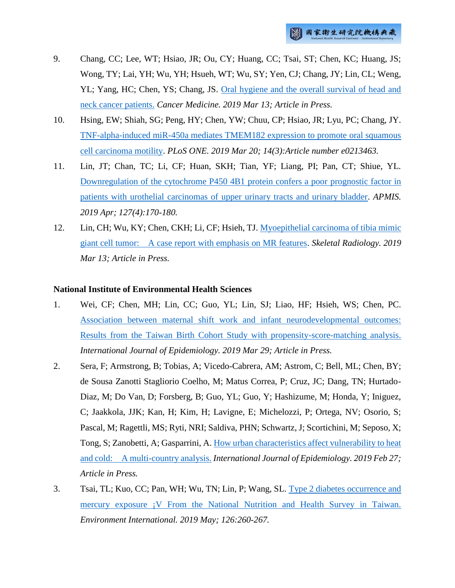- 9. Chang, CC; Lee, WT; Hsiao, JR; Ou, CY; Huang, CC; Tsai, ST; Chen, KC; Huang, JS; Wong, TY; Lai, YH; Wu, YH; Hsueh, WT; Wu, SY; Yen, CJ; Chang, JY; Lin, CL; Weng, YL; Yang, HC; Chen, YS; Chang, JS. Oral hygiene and the overall survival of head and [neck cancer patients.](http://ir.nhri.org.tw/handle/3990099045/11822) *Cancer Medicine. 2019 Mar 13; Article in Press.*
- 10. Hsing, EW; Shiah, SG; Peng, HY; Chen, YW; Chuu, CP; Hsiao, JR; Lyu, PC; Chang, JY. [TNF-alpha-induced miR-450a mediates TMEM182 expression to promote oral squamous](http://ir.nhri.org.tw/handle/3990099045/11829)  [cell carcinoma motility.](http://ir.nhri.org.tw/handle/3990099045/11829) *PLoS ONE. 2019 Mar 20; 14(3):Article number e0213463.*
- 11. Lin, JT; Chan, TC; Li, CF; Huan, SKH; Tian, YF; Liang, PI; Pan, CT; Shiue, YL. [Downregulation of the cytochrome P450 4B1 protein confers a poor prognostic factor in](http://ir.nhri.org.tw/handle/3990099045/11816)  [patients with urothelial carcinomas of upper urinary tracts and urinary bladder.](http://ir.nhri.org.tw/handle/3990099045/11816) *APMIS. 2019 Apr; 127(4):170-180.*
- 12. Lin, CH; Wu, KY; Chen, CKH; Li, CF; Hsieh, TJ. [Myoepithelial carcinoma of tibia mimic](http://ir.nhri.org.tw/handle/3990099045/11817)  [giant cell tumor: A case report with emphasis on MR features.](http://ir.nhri.org.tw/handle/3990099045/11817) *Skeletal Radiology. 2019 Mar 13; Article in Press.*

#### **National Institute of Environmental Health Sciences**

- 1. Wei, CF; Chen, MH; Lin, CC; Guo, YL; Lin, SJ; Liao, HF; Hsieh, WS; Chen, PC. [Association between maternal shift work and infant neurodevelopmental outcomes:](http://ir.nhri.org.tw/handle/3990099045/11807)  [Results from the Taiwan Birth Cohort Study with propensity-score-matching analysis.](http://ir.nhri.org.tw/handle/3990099045/11807) *International Journal of Epidemiology. 2019 Mar 29; Article in Press.*
- 2. Sera, F; Armstrong, B; Tobias, A; Vicedo-Cabrera, AM; Astrom, C; Bell, ML; Chen, BY; de Sousa Zanotti Stagliorio Coelho, M; Matus Correa, P; Cruz, JC; Dang, TN; Hurtado-Diaz, M; Do Van, D; Forsberg, B; Guo, YL; Guo, Y; Hashizume, M; Honda, Y; Iniguez, C; Jaakkola, JJK; Kan, H; Kim, H; Lavigne, E; Michelozzi, P; Ortega, NV; Osorio, S; Pascal, M; Ragettli, MS; Ryti, NRI; Saldiva, PHN; Schwartz, J; Scortichini, M; Seposo, X; Tong, S; Zanobetti, A; Gasparrini, A[. How urban characteristics affect vulnerability to heat](http://ir.nhri.org.tw/handle/3990099045/11813)  [and cold: A multi-country analysis.](http://ir.nhri.org.tw/handle/3990099045/11813) *International Journal of Epidemiology. 2019 Feb 27; Article in Press.*
- 3. Tsai, TL; Kuo, CC; Pan, WH; Wu, TN; Lin, P; Wang, SL. [Type 2 diabetes occurrence and](http://ir.nhri.org.tw/handle/3990099045/11810)  [mercury exposure ¡V From the National Nutrition and Health Survey in Taiwan.](http://ir.nhri.org.tw/handle/3990099045/11810)  *Environment International. 2019 May; 126:260-267.*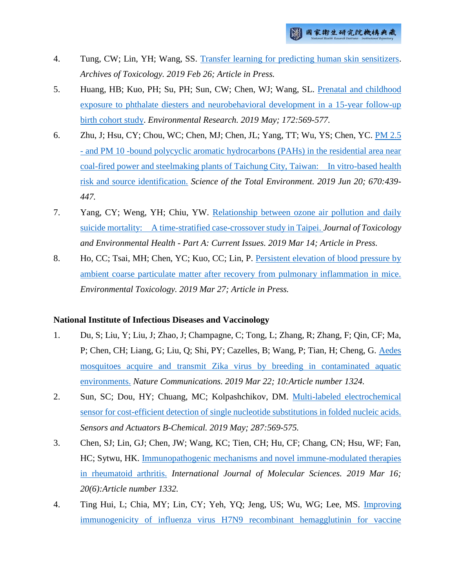- 4. Tung, CW; Lin, YH; Wang, SS. [Transfer learning for predicting human skin sensitizers.](http://ir.nhri.org.tw/handle/3990099045/11812) *Archives of Toxicology. 2019 Feb 26; Article in Press.*
- 5. Huang, HB; Kuo, PH; Su, PH; Sun, CW; Chen, WJ; Wang, SL. [Prenatal and childhood](http://ir.nhri.org.tw/handle/3990099045/11809)  [exposure to phthalate diesters and neurobehavioral development in a 15-year follow-up](http://ir.nhri.org.tw/handle/3990099045/11809)  [birth cohort study.](http://ir.nhri.org.tw/handle/3990099045/11809) *Environmental Research. 2019 May; 172:569-577.*
- 6. Zhu, J; Hsu, CY; Chou, WC; Chen, MJ; Chen, JL; Yang, TT; Wu, YS; Chen, YC. [PM 2.5](http://ir.nhri.org.tw/handle/3990099045/11814)  - [and PM 10 -bound polycyclic aromatic hydrocarbons \(PAHs\) in the residential area near](http://ir.nhri.org.tw/handle/3990099045/11814)  [coal-fired power and steelmaking plants of Taichung City, Taiwan: In vitro-based health](http://ir.nhri.org.tw/handle/3990099045/11814)  [risk and source identification.](http://ir.nhri.org.tw/handle/3990099045/11814) *Science of the Total Environment. 2019 Jun 20; 670:439- 447.*
- 7. Yang, CY; Weng, YH; Chiu, YW. [Relationship between ozone air pollution and daily](http://ir.nhri.org.tw/handle/3990099045/11811)  [suicide mortality: A time-stratified case-crossover study in Taipei.](http://ir.nhri.org.tw/handle/3990099045/11811) *Journal of Toxicology and Environmental Health - Part A: Current Issues. 2019 Mar 14; Article in Press.*
- 8. Ho, CC; Tsai, MH; Chen, YC; Kuo, CC; Lin, P. [Persistent elevation of blood pressure by](http://ir.nhri.org.tw/handle/3990099045/11815)  [ambient coarse particulate matter after recovery from pulmonary inflammation in mice.](http://ir.nhri.org.tw/handle/3990099045/11815)  *Environmental Toxicology. 2019 Mar 27; Article in Press.*

#### **National Institute of Infectious Diseases and Vaccinology**

- 1. Du, S; Liu, Y; Liu, J; Zhao, J; Champagne, C; Tong, L; Zhang, R; Zhang, F; Qin, CF; Ma, P; Chen, CH; Liang, G; Liu, Q; Shi, PY; Cazelles, B; Wang, P; Tian, H; Cheng, G. [Aedes](http://ir.nhri.org.tw/handle/3990099045/11794)  [mosquitoes acquire and transmit Zika virus by breeding in contaminated aquatic](http://ir.nhri.org.tw/handle/3990099045/11794)  [environments.](http://ir.nhri.org.tw/handle/3990099045/11794) *Nature Communications. 2019 Mar 22; 10:Article number 1324.*
- 2. Sun, SC; Dou, HY; Chuang, MC; Kolpashchikov, DM. [Multi-labeled electrochemical](http://ir.nhri.org.tw/handle/3990099045/11790)  [sensor for cost-efficient detection of single nucleotide substitutions in folded nucleic acids.](http://ir.nhri.org.tw/handle/3990099045/11790) *Sensors and Actuators B-Chemical. 2019 May; 287:569-575.*
- 3. Chen, SJ; Lin, GJ; Chen, JW; Wang, KC; Tien, CH; Hu, CF; Chang, CN; Hsu, WF; Fan, HC; Sytwu, HK. [Immunopathogenic mechanisms and novel immune-modulated therapies](http://ir.nhri.org.tw/handle/3990099045/11789)  [in rheumatoid arthritis.](http://ir.nhri.org.tw/handle/3990099045/11789) *International Journal of Molecular Sciences. 2019 Mar 16; 20(6):Article number 1332.*
- 4. Ting Hui, L; Chia, MY; Lin, CY; Yeh, YQ; Jeng, US; Wu, WG; Lee, MS. [Improving](http://ir.nhri.org.tw/handle/3990099045/11843)  [immunogenicity of influenza virus H7N9 recombinant hemagglutinin for vaccine](http://ir.nhri.org.tw/handle/3990099045/11843)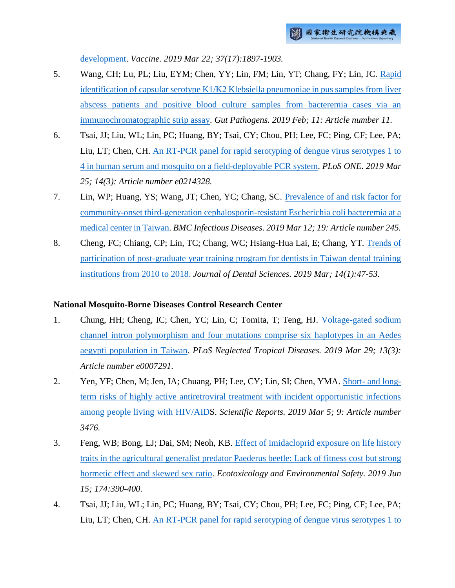[development.](http://ir.nhri.org.tw/handle/3990099045/11843) *Vaccine. 2019 Mar 22; 37(17):1897-1903.*

- 5. Wang, CH; Lu, PL; Liu, EYM; Chen, YY; Lin, FM; Lin, YT; Chang, FY; Lin, JC. [Rapid](http://ir.nhri.org.tw/handle/3990099045/11793)  [identification of capsular serotype K1/K2 Klebsiella pneumoniae in pus samples from liver](http://ir.nhri.org.tw/handle/3990099045/11793)  [abscess patients and positive blood culture samples from bacteremia cases via an](http://ir.nhri.org.tw/handle/3990099045/11793)  [immunochromatographic strip assay.](http://ir.nhri.org.tw/handle/3990099045/11793) *Gut Pathogens. 2019 Feb; 11: Article number 11.*
- 6. Tsai, JJ; Liu, WL; Lin, PC; Huang, BY; Tsai, CY; Chou, PH; Lee, FC; Ping, CF; Lee, PA; Liu, LT; Chen, CH. [An RT-PCR panel for rapid serotyping of dengue virus serotypes 1 to](http://ir.nhri.org.tw/handle/3990099045/11842)  [4 in human serum and mosquito on a field-deployable PCR system.](http://ir.nhri.org.tw/handle/3990099045/11842) *PLoS ONE. 2019 Mar 25; 14(3): Article number e0214328.*
- 7. Lin, WP; Huang, YS; Wang, JT; Chen, YC; Chang, SC. [Prevalence of and risk factor for](http://ir.nhri.org.tw/handle/3990099045/11791)  [community-onset third-generation cephalosporin-resistant Escherichia coli bacteremia at a](http://ir.nhri.org.tw/handle/3990099045/11791)  [medical center in Taiwan.](http://ir.nhri.org.tw/handle/3990099045/11791) *BMC Infectious Diseases. 2019 Mar 12; 19: Article number 245.*
- 8. Cheng, FC; Chiang, CP; Lin, TC; Chang, WC; Hsiang-Hua Lai, E; Chang, YT. [Trends of](http://ir.nhri.org.tw/handle/3990099045/11792)  [participation of post-graduate year training program for dentists in Taiwan dental training](http://ir.nhri.org.tw/handle/3990099045/11792)  [institutions from 2010 to 2018.](http://ir.nhri.org.tw/handle/3990099045/11792) *Journal of Dental Sciences. 2019 Mar; 14(1):47-53.*

#### **National Mosquito-Borne Diseases Control Research Center**

- 1. Chung, HH; Cheng, IC; Chen, YC; Lin, C; Tomita, T; Teng, HJ. [Voltage-gated sodium](http://ir.nhri.org.tw/handle/3990099045/11782)  [channel intron polymorphism and four mutations comprise six haplotypes in an Aedes](http://ir.nhri.org.tw/handle/3990099045/11782)  [aegypti population in Taiwan.](http://ir.nhri.org.tw/handle/3990099045/11782) *PLoS Neglected Tropical Diseases. 2019 Mar 29; 13(3): Article number e0007291.*
- 2. Yen, YF; Chen, M; Jen, IA; Chuang, PH; Lee, CY; Lin, SI; Chen, YMA. Short- [and long](http://ir.nhri.org.tw/handle/3990099045/11783)[term risks of highly active antiretroviral treatment with incident opportunistic infections](http://ir.nhri.org.tw/handle/3990099045/11783)  [among people living with HIV/AIDS](http://ir.nhri.org.tw/handle/3990099045/11783). *Scientific Reports. 2019 Mar 5; 9: Article number 3476.*
- 3. Feng, WB; Bong, LJ; Dai, SM; Neoh, KB. [Effect of imidacloprid exposure on life history](http://ir.nhri.org.tw/handle/3990099045/11781)  [traits in the agricultural generalist predator Paederus beetle: Lack of fitness cost but strong](http://ir.nhri.org.tw/handle/3990099045/11781)  [hormetic effect and skewed sex ratio.](http://ir.nhri.org.tw/handle/3990099045/11781) *Ecotoxicology and Environmental Safety. 2019 Jun 15; 174:390-400.*
- 4. Tsai, JJ; Liu, WL; Lin, PC; Huang, BY; Tsai, CY; Chou, PH; Lee, FC; Ping, CF; Lee, PA; Liu, LT; Chen, CH. [An RT-PCR panel for rapid serotyping of dengue virus serotypes 1 to](http://ir.nhri.org.tw/handle/3990099045/11842)